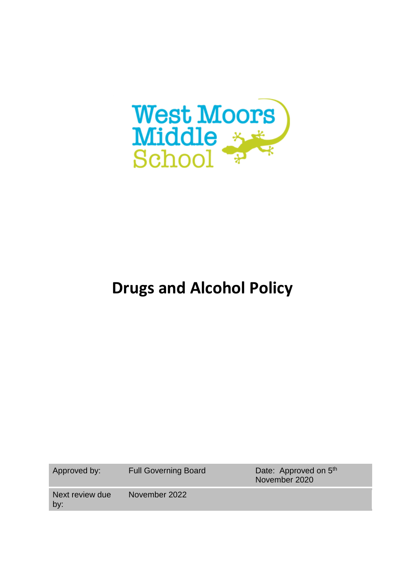

# **Drugs and Alcohol Policy**

Approved by: Full Governing Board Date: Approved on 5<sup>th</sup>

November 2020

Next review due by: November 2022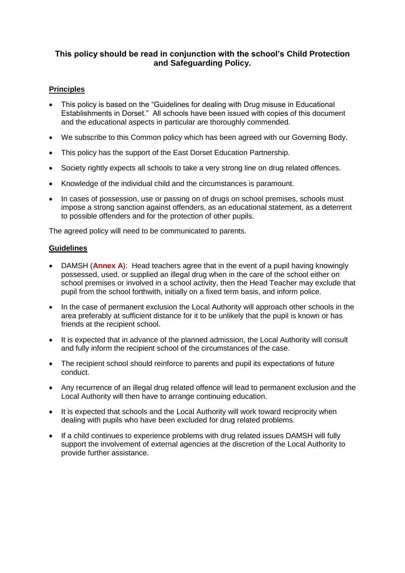# **This policy should be read in conjunction with the school's Child Protection and Safeguarding Policy.**

# **Principles**

- This policy is based on the "Guidelines for dealing with Drug misuse in Educational Establishments in Dorset." All schools have been issued with copies of this document and the educational aspects in particular are thoroughly commended.
- We subscribe to this Common policy which has been agreed with our Governing Body.
- This policy has the support of the East Dorset Education Partnership.
- Society rightly expects all schools to take a very strong line on drug related offences.
- Knowledge of the individual child and the circumstances is paramount.
- In cases of possession, use or passing on of drugs on school premises, schools must impose a strong sanction against offenders, as an educational statement, as a deterrent to possible offenders and for the protection of other pupils.

The agreed policy will need to be communicated to parents.

# **Guidelines**

- DAMSH (**Annex A**): Head teachers agree that in the event of a pupil having knowingly possessed, used, or supplied an illegal drug when in the care of the school either on school premises or involved in a school activity, then the Head Teacher may exclude that pupil from the school forthwith, initially on a fixed term basis, and inform police.
- In the case of permanent exclusion the Local Authority will approach other schools in the area preferably at sufficient distance for it to be unlikely that the pupil is known or has friends at the recipient school.
- It is expected that in advance of the planned admission, the Local Authority will consult and fully inform the recipient school of the circumstances of the case.
- The recipient school should reinforce to parents and pupil its expectations of future conduct.
- Any recurrence of an illegal drug related offence will lead to permanent exclusion and the Local Authority will then have to arrange continuing education.
- It is expected that schools and the Local Authority will work toward reciprocity when dealing with pupils who have been excluded for drug related problems.
- If a child continues to experience problems with drug related issues DAMSH will fully support the involvement of external agencies at the discretion of the Local Authority to provide further assistance.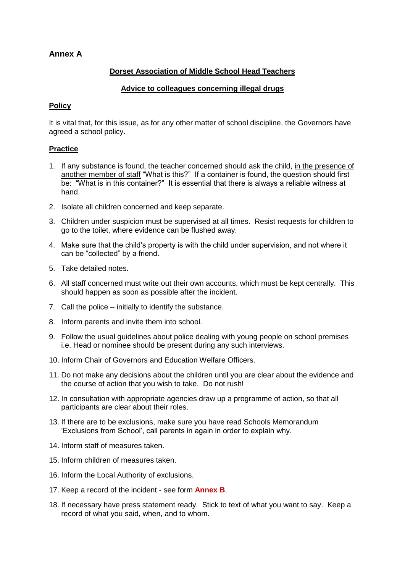# **Annex A**

# **Dorset Association of Middle School Head Teachers**

#### **Advice to colleagues concerning illegal drugs**

# **Policy**

It is vital that, for this issue, as for any other matter of school discipline, the Governors have agreed a school policy.

#### **Practice**

- 1. If any substance is found, the teacher concerned should ask the child, in the presence of another member of staff "What is this?" If a container is found, the question should first be: "What is in this container?" It is essential that there is always a reliable witness at hand.
- 2. Isolate all children concerned and keep separate.
- 3. Children under suspicion must be supervised at all times. Resist requests for children to go to the toilet, where evidence can be flushed away.
- 4. Make sure that the child's property is with the child under supervision, and not where it can be "collected" by a friend.
- 5. Take detailed notes.
- 6. All staff concerned must write out their own accounts, which must be kept centrally. This should happen as soon as possible after the incident.
- 7. Call the police initially to identify the substance.
- 8. Inform parents and invite them into school.
- 9. Follow the usual guidelines about police dealing with young people on school premises i.e. Head or nominee should be present during any such interviews.
- 10. Inform Chair of Governors and Education Welfare Officers.
- 11. Do not make any decisions about the children until you are clear about the evidence and the course of action that you wish to take. Do not rush!
- 12. In consultation with appropriate agencies draw up a programme of action, so that all participants are clear about their roles.
- 13. If there are to be exclusions, make sure you have read Schools Memorandum 'Exclusions from School', call parents in again in order to explain why.
- 14. Inform staff of measures taken.
- 15. Inform children of measures taken.
- 16. Inform the Local Authority of exclusions.
- 17. Keep a record of the incident see form **Annex B**.
- 18. If necessary have press statement ready. Stick to text of what you want to say. Keep a record of what you said, when, and to whom.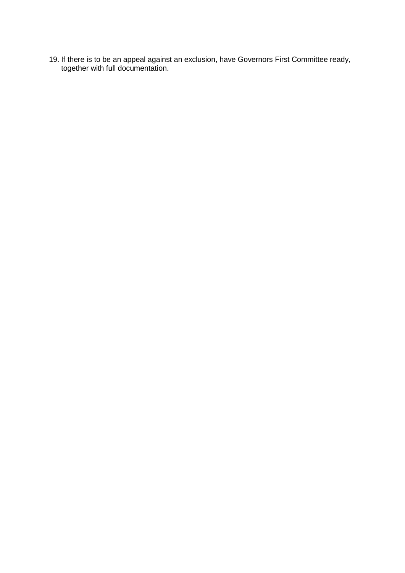19. If there is to be an appeal against an exclusion, have Governors First Committee ready, together with full documentation.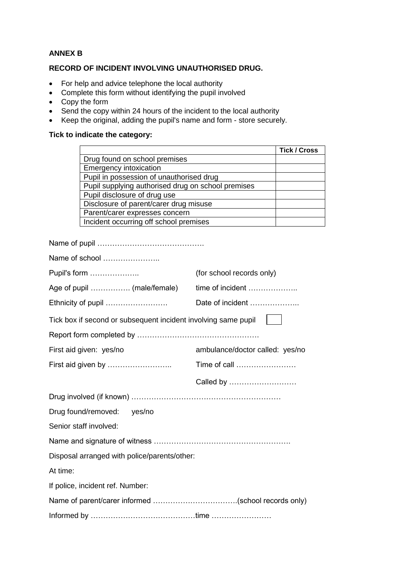# **ANNEX B**

#### **RECORD OF INCIDENT INVOLVING UNAUTHORISED DRUG.**

- For help and advice telephone the local authority
- Complete this form without identifying the pupil involved
- Copy the form

 $\overline{ }$ 

- Send the copy within 24 hours of the incident to the local authority
- Keep the original, adding the pupil's name and form store securely.

#### **Tick to indicate the category:**

|                                                                |                                                                                                |                                 | <b>Tick / Cross</b> |
|----------------------------------------------------------------|------------------------------------------------------------------------------------------------|---------------------------------|---------------------|
|                                                                | Drug found on school premises                                                                  |                                 |                     |
|                                                                | <b>Emergency intoxication</b>                                                                  |                                 |                     |
|                                                                | Pupil in possession of unauthorised drug<br>Pupil supplying authorised drug on school premises |                                 |                     |
| Pupil disclosure of drug use                                   |                                                                                                |                                 |                     |
| Disclosure of parent/carer drug misuse                         |                                                                                                |                                 |                     |
| Parent/carer expresses concern                                 |                                                                                                |                                 |                     |
| Incident occurring off school premises                         |                                                                                                |                                 |                     |
|                                                                |                                                                                                |                                 |                     |
| Name of school                                                 |                                                                                                |                                 |                     |
| Pupil's form<br>(for school records only)                      |                                                                                                |                                 |                     |
| Age of pupil  (male/female)                                    |                                                                                                | time of incident                |                     |
| Ethnicity of pupil                                             |                                                                                                | Date of incident                |                     |
| Tick box if second or subsequent incident involving same pupil |                                                                                                |                                 |                     |
|                                                                |                                                                                                |                                 |                     |
| First aid given: yes/no                                        |                                                                                                | ambulance/doctor called: yes/no |                     |
|                                                                |                                                                                                | Time of call                    |                     |
|                                                                |                                                                                                | Called by                       |                     |
|                                                                |                                                                                                |                                 |                     |
|                                                                | Drug found/removed: yes/no                                                                     |                                 |                     |
|                                                                | Senior staff involved:                                                                         |                                 |                     |
|                                                                |                                                                                                |                                 |                     |
| Disposal arranged with police/parents/other:                   |                                                                                                |                                 |                     |
| At time:                                                       |                                                                                                |                                 |                     |
|                                                                | If police, incident ref. Number:                                                               |                                 |                     |
|                                                                |                                                                                                |                                 |                     |
|                                                                |                                                                                                |                                 |                     |